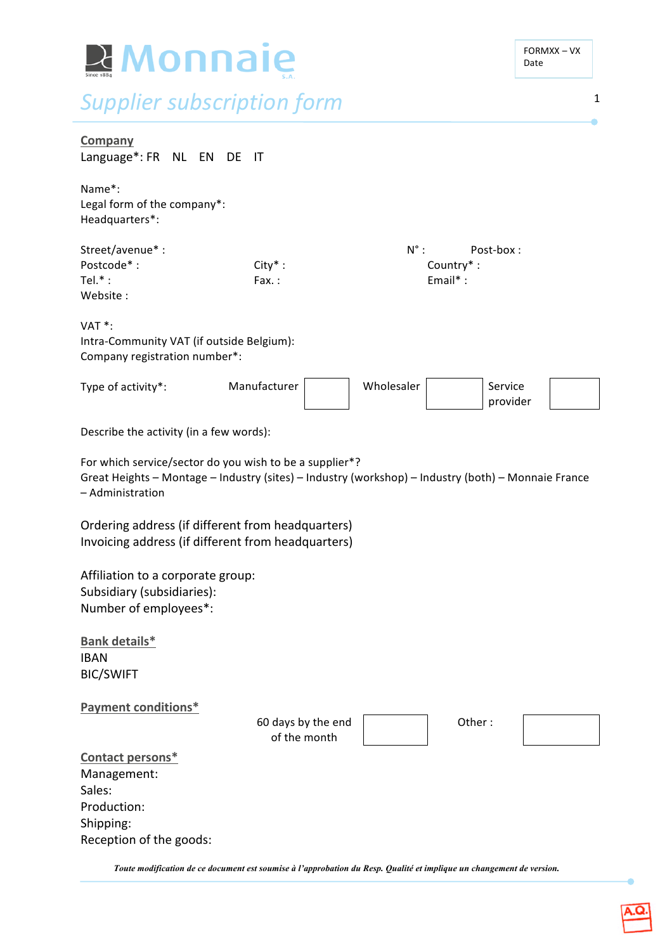| <b>R</b> Monnaie                                                                                                                                                                   |                                    |               |                                       | FORMXX-VX<br>Date   |   |
|------------------------------------------------------------------------------------------------------------------------------------------------------------------------------------|------------------------------------|---------------|---------------------------------------|---------------------|---|
| <b>Supplier subscription form</b>                                                                                                                                                  |                                    |               |                                       |                     | 1 |
| <b>Company</b><br>Language*: FR NL EN DE                                                                                                                                           | ा                                  |               |                                       |                     |   |
| Name*:<br>Legal form of the company*:<br>Headquarters*:                                                                                                                            |                                    |               |                                       |                     |   |
| Street/avenue*:<br>Postcode*:<br>Tel. $*$ :<br>Website:                                                                                                                            | $City*$ :<br>Fax:                  | $N^{\circ}$ : | Post-box:<br>Country*:<br>Email $*$ : |                     |   |
| VAT <sup>*</sup> :<br>Intra-Community VAT (if outside Belgium):<br>Company registration number*:                                                                                   |                                    |               |                                       |                     |   |
| Type of activity*:                                                                                                                                                                 | Manufacturer                       | Wholesaler    |                                       | Service<br>provider |   |
| Describe the activity (in a few words):                                                                                                                                            |                                    |               |                                       |                     |   |
| For which service/sector do you wish to be a supplier*?<br>Great Heights - Montage - Industry (sites) - Industry (workshop) - Industry (both) - Monnaie France<br>- Administration |                                    |               |                                       |                     |   |
| Ordering address (if different from headquarters)<br>Invoicing address (if different from headquarters)                                                                            |                                    |               |                                       |                     |   |
| Affiliation to a corporate group:<br>Subsidiary (subsidiaries):<br>Number of employees*:                                                                                           |                                    |               |                                       |                     |   |
| Bank details*<br><b>IBAN</b><br><b>BIC/SWIFT</b>                                                                                                                                   |                                    |               |                                       |                     |   |
| <b>Payment conditions*</b>                                                                                                                                                         | 60 days by the end<br>of the month |               | Other:                                |                     |   |
| Contact persons*<br>Management:<br>Sales:<br>Production:<br>Shipping:<br>Reception of the goods:                                                                                   |                                    |               |                                       |                     |   |

*Toute modification de ce document est soumise à l'approbation du Resp. Qualité et implique un changement de version.*

 $\bullet$